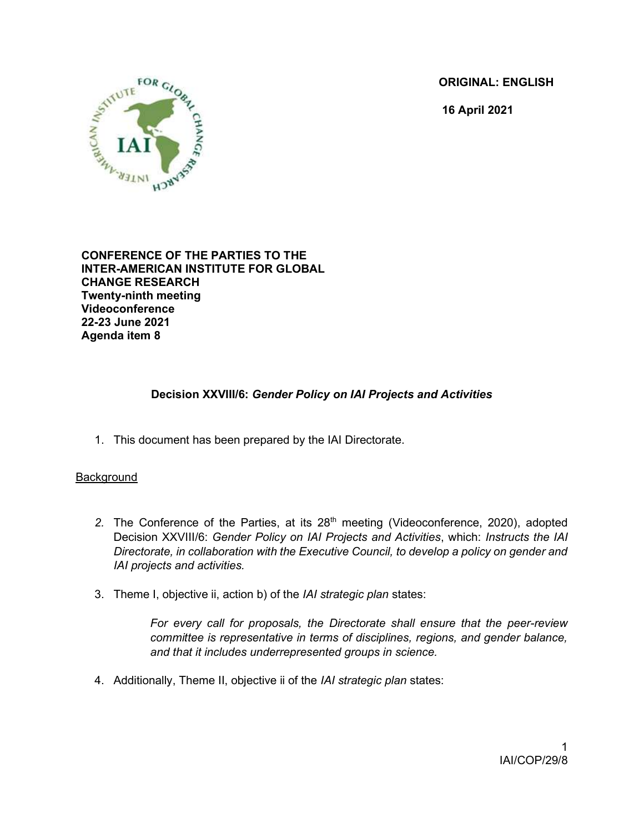ORIGINAL: ENGLISH

16 April 2021



CONFERENCE OF THE PARTIES TO THE INTER-AMERICAN INSTITUTE FOR GLOBAL CHANGE RESEARCH Twenty-ninth meeting Videoconference 22-23 June 2021 Agenda item 8

# Decision XXVIII/6: Gender Policy on IAI Projects and Activities

1. This document has been prepared by the IAI Directorate.

### **Background**

- 2. The Conference of the Parties, at its 28<sup>th</sup> meeting (Videoconference, 2020), adopted Decision XXVIII/6: Gender Policy on IAI Projects and Activities, which: Instructs the IAI Directorate, in collaboration with the Executive Council, to develop a policy on gender and IAI projects and activities.
- 3. Theme I, objective ii, action b) of the IAI strategic plan states:

For every call for proposals, the Directorate shall ensure that the peer-review committee is representative in terms of disciplines, regions, and gender balance, and that it includes underrepresented groups in science.

4. Additionally, Theme II, objective ii of the IAI strategic plan states: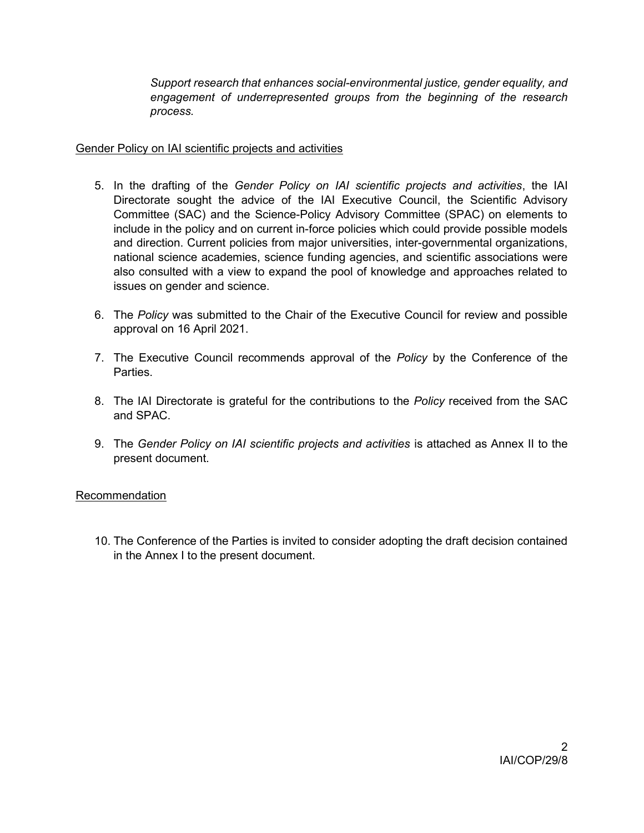Support research that enhances social-environmental justice, gender equality, and engagement of underrepresented groups from the beginning of the research process.

#### Gender Policy on IAI scientific projects and activities

- 5. In the drafting of the Gender Policy on IAI scientific projects and activities, the IAI Directorate sought the advice of the IAI Executive Council, the Scientific Advisory Committee (SAC) and the Science-Policy Advisory Committee (SPAC) on elements to include in the policy and on current in-force policies which could provide possible models and direction. Current policies from major universities, inter-governmental organizations, national science academies, science funding agencies, and scientific associations were also consulted with a view to expand the pool of knowledge and approaches related to issues on gender and science.
- 6. The Policy was submitted to the Chair of the Executive Council for review and possible approval on 16 April 2021.
- 7. The Executive Council recommends approval of the *Policy* by the Conference of the Parties.
- 8. The IAI Directorate is grateful for the contributions to the *Policy* received from the SAC and SPAC.
- 9. The Gender Policy on IAI scientific projects and activities is attached as Annex II to the present document.

### Recommendation

10. The Conference of the Parties is invited to consider adopting the draft decision contained in the Annex I to the present document.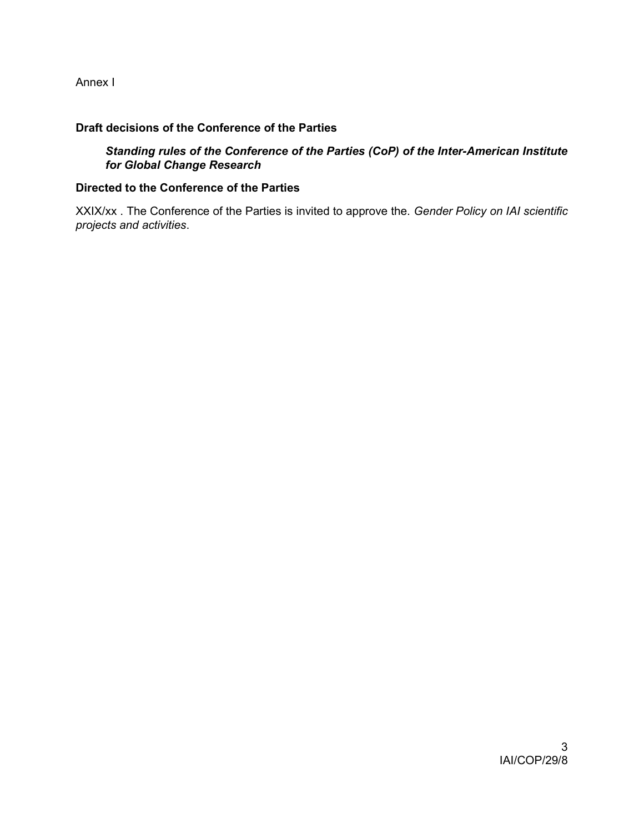Annex I

# Draft decisions of the Conference of the Parties

Standing rules of the Conference of the Parties (CoP) of the Inter-American Institute for Global Change Research

#### Directed to the Conference of the Parties

XXIX/xx . The Conference of the Parties is invited to approve the. Gender Policy on IAI scientific projects and activities.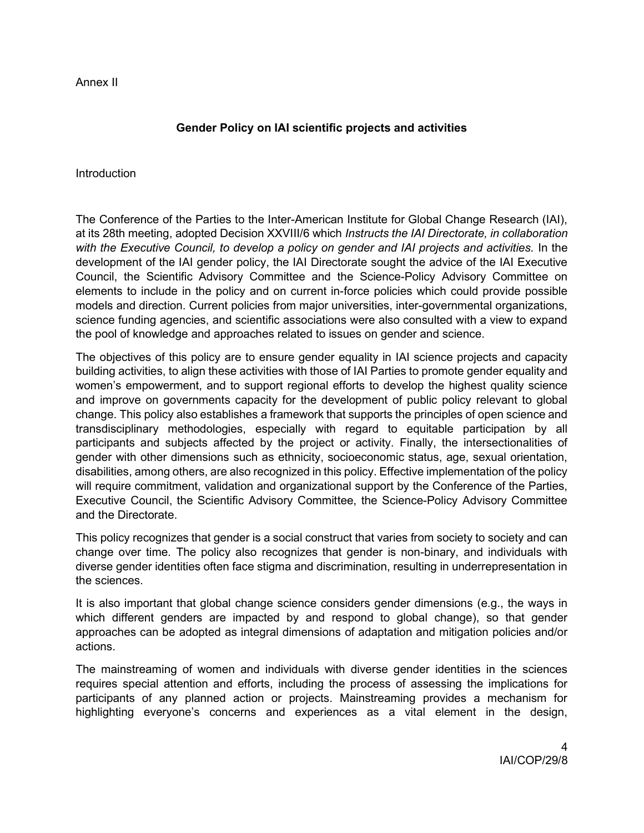Annex II

# Gender Policy on IAI scientific projects and activities

Introduction

The Conference of the Parties to the Inter-American Institute for Global Change Research (IAI), at its 28th meeting, adopted Decision XXVIII/6 which Instructs the IAI Directorate, in collaboration with the Executive Council, to develop a policy on gender and IAI projects and activities. In the development of the IAI gender policy, the IAI Directorate sought the advice of the IAI Executive Council, the Scientific Advisory Committee and the Science-Policy Advisory Committee on elements to include in the policy and on current in-force policies which could provide possible models and direction. Current policies from major universities, inter-governmental organizations, science funding agencies, and scientific associations were also consulted with a view to expand the pool of knowledge and approaches related to issues on gender and science.

The objectives of this policy are to ensure gender equality in IAI science projects and capacity building activities, to align these activities with those of IAI Parties to promote gender equality and women's empowerment, and to support regional efforts to develop the highest quality science and improve on governments capacity for the development of public policy relevant to global change. This policy also establishes a framework that supports the principles of open science and transdisciplinary methodologies, especially with regard to equitable participation by all participants and subjects affected by the project or activity. Finally, the intersectionalities of gender with other dimensions such as ethnicity, socioeconomic status, age, sexual orientation, disabilities, among others, are also recognized in this policy. Effective implementation of the policy will require commitment, validation and organizational support by the Conference of the Parties, Executive Council, the Scientific Advisory Committee, the Science-Policy Advisory Committee and the Directorate.

This policy recognizes that gender is a social construct that varies from society to society and can change over time. The policy also recognizes that gender is non-binary, and individuals with diverse gender identities often face stigma and discrimination, resulting in underrepresentation in the sciences.

It is also important that global change science considers gender dimensions (e.g., the ways in which different genders are impacted by and respond to global change), so that gender approaches can be adopted as integral dimensions of adaptation and mitigation policies and/or actions.

The mainstreaming of women and individuals with diverse gender identities in the sciences requires special attention and efforts, including the process of assessing the implications for participants of any planned action or projects. Mainstreaming provides a mechanism for highlighting everyone's concerns and experiences as a vital element in the design,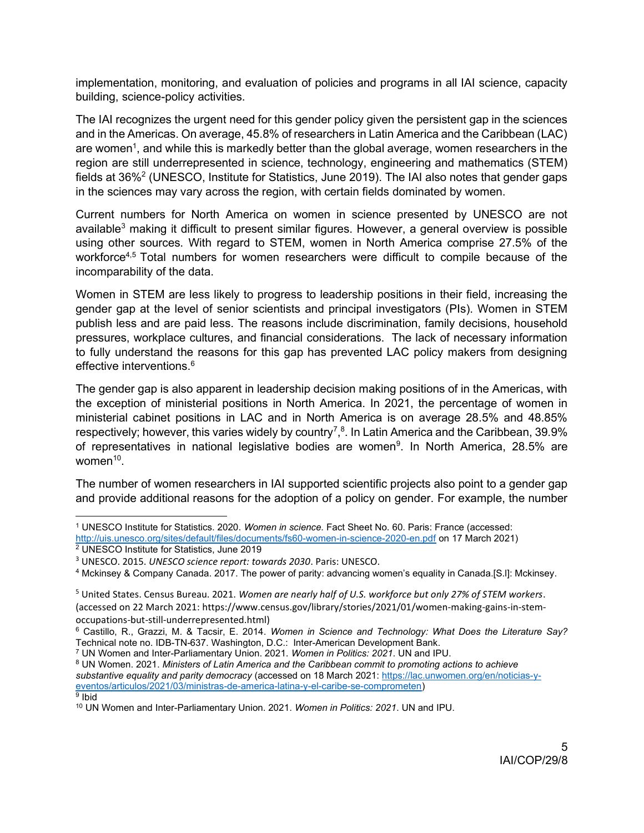implementation, monitoring, and evaluation of policies and programs in all IAI science, capacity building, science-policy activities.

The IAI recognizes the urgent need for this gender policy given the persistent gap in the sciences and in the Americas. On average, 45.8% of researchers in Latin America and the Caribbean (LAC) are women $^{\rm 1}$ , and while this is markedly better than the global average, women researchers in the region are still underrepresented in science, technology, engineering and mathematics (STEM) fields at 36%<sup>2</sup> (UNESCO, Institute for Statistics, June 2019). The IAI also notes that gender gaps in the sciences may vary across the region, with certain fields dominated by women.

Current numbers for North America on women in science presented by UNESCO are not available<sup>3</sup> making it difficult to present similar figures. However, a general overview is possible using other sources. With regard to STEM, women in North America comprise 27.5% of the workforce<sup>4,5</sup> Total numbers for women researchers were difficult to compile because of the incomparability of the data.

Women in STEM are less likely to progress to leadership positions in their field, increasing the gender gap at the level of senior scientists and principal investigators (PIs). Women in STEM publish less and are paid less. The reasons include discrimination, family decisions, household pressures, workplace cultures, and financial considerations. The lack of necessary information to fully understand the reasons for this gap has prevented LAC policy makers from designing effective interventions.<sup>6</sup>

The gender gap is also apparent in leadership decision making positions of in the Americas, with the exception of ministerial positions in North America. In 2021, the percentage of women in ministerial cabinet positions in LAC and in North America is on average 28.5% and 48.85% respectively; however, this varies widely by country<sup>7</sup>,<sup>8</sup>. In Latin America and the Caribbean, 39.9% of representatives in national legislative bodies are women<sup>9</sup>. In North America, 28.5% are women<sup>10</sup>.

The number of women researchers in IAI supported scientific projects also point to a gender gap and provide additional reasons for the adoption of a policy on gender. For example, the number

<sup>&</sup>lt;sup>1</sup> UNESCO Institute for Statistics. 2020. Women in science. Fact Sheet No. 60. Paris: France (accessed:

http://uis.unesco.org/sites/default/files/documents/fs60-women-in-science-2020-en.pdf on 17 March 2021) 2 UNESCO Institute for Statistics, June 2019

<sup>&</sup>lt;sup>3</sup> UNESCO. 2015. UNESCO science report: towards 2030. Paris: UNESCO.

<sup>4</sup> Mckinsey & Company Canada. 2017. The power of parity: advancing women's equality in Canada.[S.l]: Mckinsey.

<sup>&</sup>lt;sup>5</sup> United States. Census Bureau. 2021. Women are nearly half of U.S. workforce but only 27% of STEM workers. (accessed on 22 March 2021: https://www.census.gov/library/stories/2021/01/women-making-gains-in-stemoccupations-but-still-underrepresented.html)

<sup>&</sup>lt;sup>6</sup> Castillo, R., Grazzi, M. & Tacsir, E. 2014. Women in Science and Technology: What Does the Literature Say? Technical note no. IDB-TN-637. Washington, D.C.: Inter-American Development Bank.

<sup>&</sup>lt;sup>7</sup> UN Women and Inter-Parliamentary Union. 2021. Women in Politics: 2021. UN and IPU.

 $8$  UN Women. 2021. Ministers of Latin America and the Caribbean commit to promoting actions to achieve substantive equality and parity democracy (accessed on 18 March 2021: https://lac.unwomen.org/en/noticias-yeventos/articulos/2021/03/ministras-de-america-latina-y-el-caribe-se-comprometen) <sup>9</sup> Ibid

<sup>&</sup>lt;sup>10</sup> UN Women and Inter-Parliamentary Union. 2021. Women in Politics: 2021. UN and IPU.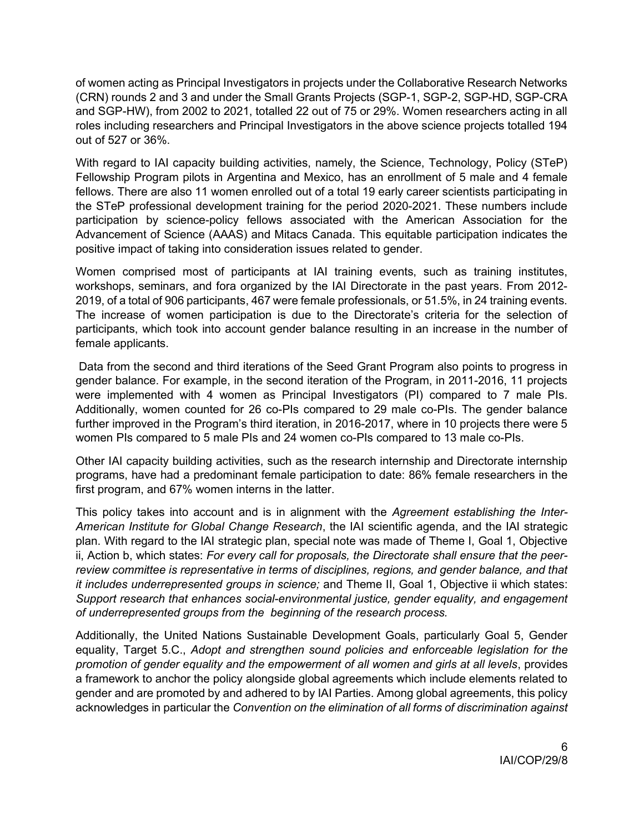of women acting as Principal Investigators in projects under the Collaborative Research Networks (CRN) rounds 2 and 3 and under the Small Grants Projects (SGP-1, SGP-2, SGP-HD, SGP-CRA and SGP-HW), from 2002 to 2021, totalled 22 out of 75 or 29%. Women researchers acting in all roles including researchers and Principal Investigators in the above science projects totalled 194 out of 527 or 36%.

With regard to IAI capacity building activities, namely, the Science, Technology, Policy (STeP) Fellowship Program pilots in Argentina and Mexico, has an enrollment of 5 male and 4 female fellows. There are also 11 women enrolled out of a total 19 early career scientists participating in the STeP professional development training for the period 2020-2021. These numbers include participation by science-policy fellows associated with the American Association for the Advancement of Science (AAAS) and Mitacs Canada. This equitable participation indicates the positive impact of taking into consideration issues related to gender.

Women comprised most of participants at IAI training events, such as training institutes, workshops, seminars, and fora organized by the IAI Directorate in the past years. From 2012- 2019, of a total of 906 participants, 467 were female professionals, or 51.5%, in 24 training events. The increase of women participation is due to the Directorate's criteria for the selection of participants, which took into account gender balance resulting in an increase in the number of female applicants.

 Data from the second and third iterations of the Seed Grant Program also points to progress in gender balance. For example, in the second iteration of the Program, in 2011-2016, 11 projects were implemented with 4 women as Principal Investigators (PI) compared to 7 male PIs. Additionally, women counted for 26 co-PIs compared to 29 male co-PIs. The gender balance further improved in the Program's third iteration, in 2016-2017, where in 10 projects there were 5 women PIs compared to 5 male PIs and 24 women co-PIs compared to 13 male co-PIs.

Other IAI capacity building activities, such as the research internship and Directorate internship programs, have had a predominant female participation to date: 86% female researchers in the first program, and 67% women interns in the latter.

This policy takes into account and is in alignment with the Agreement establishing the Inter-American Institute for Global Change Research, the IAI scientific agenda, and the IAI strategic plan. With regard to the IAI strategic plan, special note was made of Theme I, Goal 1, Objective ii, Action b, which states: For every call for proposals, the Directorate shall ensure that the peerreview committee is representative in terms of disciplines, regions, and gender balance, and that it includes underrepresented groups in science; and Theme II, Goal 1, Objective ii which states: Support research that enhances social-environmental justice, gender equality, and engagement of underrepresented groups from the beginning of the research process.

Additionally, the United Nations Sustainable Development Goals, particularly Goal 5, Gender equality, Target 5.C., Adopt and strengthen sound policies and enforceable legislation for the promotion of gender equality and the empowerment of all women and girls at all levels, provides a framework to anchor the policy alongside global agreements which include elements related to gender and are promoted by and adhered to by IAI Parties. Among global agreements, this policy acknowledges in particular the Convention on the elimination of all forms of discrimination against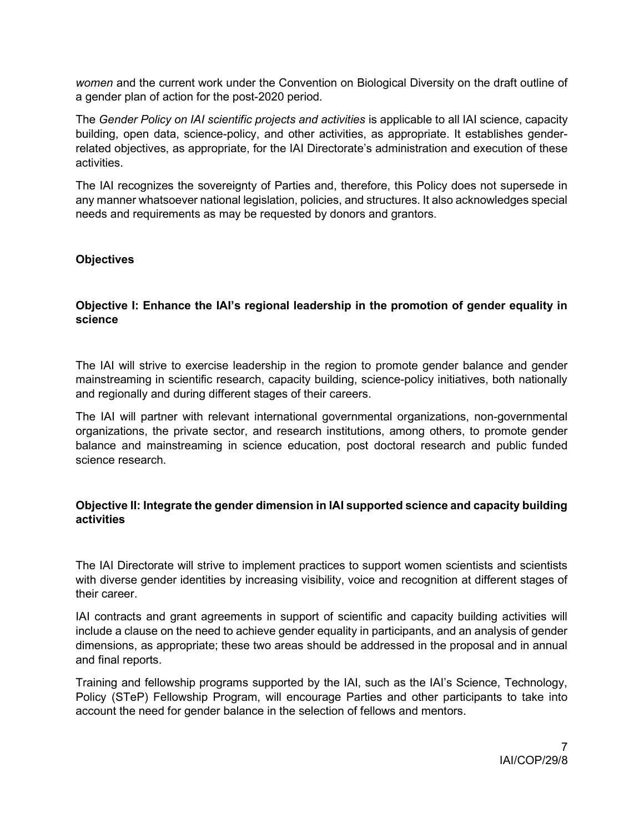women and the current work under the Convention on Biological Diversity on the draft outline of a gender plan of action for the post-2020 period.

The Gender Policy on IAI scientific projects and activities is applicable to all IAI science, capacity building, open data, science-policy, and other activities, as appropriate. It establishes genderrelated objectives, as appropriate, for the IAI Directorate's administration and execution of these activities.

The IAI recognizes the sovereignty of Parties and, therefore, this Policy does not supersede in any manner whatsoever national legislation, policies, and structures. It also acknowledges special needs and requirements as may be requested by donors and grantors.

### **Objectives**

## Objective I: Enhance the IAI's regional leadership in the promotion of gender equality in science

The IAI will strive to exercise leadership in the region to promote gender balance and gender mainstreaming in scientific research, capacity building, science-policy initiatives, both nationally and regionally and during different stages of their careers.

The IAI will partner with relevant international governmental organizations, non-governmental organizations, the private sector, and research institutions, among others, to promote gender balance and mainstreaming in science education, post doctoral research and public funded science research.

### Objective II: Integrate the gender dimension in IAI supported science and capacity building activities

The IAI Directorate will strive to implement practices to support women scientists and scientists with diverse gender identities by increasing visibility, voice and recognition at different stages of their career.

IAI contracts and grant agreements in support of scientific and capacity building activities will include a clause on the need to achieve gender equality in participants, and an analysis of gender dimensions, as appropriate; these two areas should be addressed in the proposal and in annual and final reports.

Training and fellowship programs supported by the IAI, such as the IAI's Science, Technology, Policy (STeP) Fellowship Program, will encourage Parties and other participants to take into account the need for gender balance in the selection of fellows and mentors.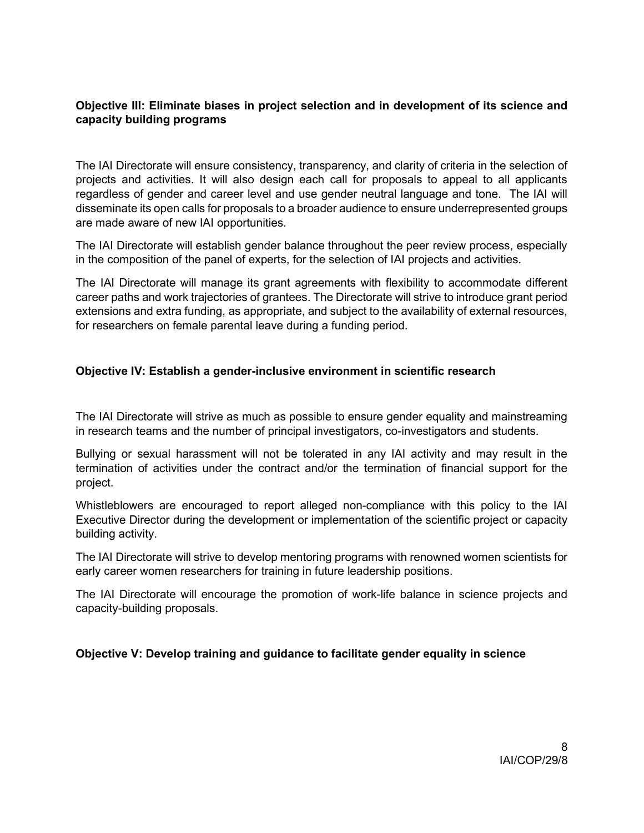## Objective III: Eliminate biases in project selection and in development of its science and capacity building programs

The IAI Directorate will ensure consistency, transparency, and clarity of criteria in the selection of projects and activities. It will also design each call for proposals to appeal to all applicants regardless of gender and career level and use gender neutral language and tone. The IAI will disseminate its open calls for proposals to a broader audience to ensure underrepresented groups are made aware of new IAI opportunities.

The IAI Directorate will establish gender balance throughout the peer review process, especially in the composition of the panel of experts, for the selection of IAI projects and activities.

The IAI Directorate will manage its grant agreements with flexibility to accommodate different career paths and work trajectories of grantees. The Directorate will strive to introduce grant period extensions and extra funding, as appropriate, and subject to the availability of external resources, for researchers on female parental leave during a funding period.

### Objective IV: Establish a gender-inclusive environment in scientific research

The IAI Directorate will strive as much as possible to ensure gender equality and mainstreaming in research teams and the number of principal investigators, co-investigators and students.

Bullying or sexual harassment will not be tolerated in any IAI activity and may result in the termination of activities under the contract and/or the termination of financial support for the project.

Whistleblowers are encouraged to report alleged non-compliance with this policy to the IAI Executive Director during the development or implementation of the scientific project or capacity building activity.

The IAI Directorate will strive to develop mentoring programs with renowned women scientists for early career women researchers for training in future leadership positions.

The IAI Directorate will encourage the promotion of work-life balance in science projects and capacity-building proposals.

### Objective V: Develop training and guidance to facilitate gender equality in science